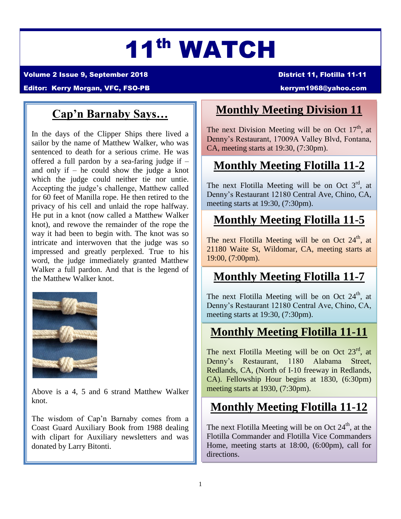# 11th WATCH

Volume 2 Issue 9, September 2018 District 11, Flotilla 11-11

#### Editor: Kerry Morgan, VFC, FSO-PB [kerrym1968@yahoo.com](mailto:kerrym1968@yahoo.com)

### **Cap'n Barnaby Says…**

In the days of the Clipper Ships there lived a sailor by the name of Matthew Walker, who was sentenced to death for a serious crime. He was offered a full pardon by a sea-faring judge if – and only if – he could show the judge a knot which the judge could neither tie nor untie. Accepting the judge's challenge, Matthew called for 60 feet of Manilla rope. He then retired to the privacy of his cell and unlaid the rope halfway. He put in a knot (now called a Matthew Walker knot), and rewove the remainder of the rope the way it had been to begin with. The knot was so intricate and interwoven that the judge was so impressed and greatly perplexed. True to his word, the judge immediately granted Matthew Walker a full pardon. And that is the legend of the Matthew Walker knot.



Above is a 4, 5 and 6 strand Matthew Walker knot.

The wisdom of Cap'n Barnaby comes from a Coast Guard Auxiliary Book from 1988 dealing with clipart for Auxiliary newsletters and was donated by Larry Bitonti.

### **Monthly Meeting Division 11**

The next Division Meeting will be on Oct  $17<sup>th</sup>$ , at Denny's Restaurant, 17009A Valley Blvd, Fontana, CA, meeting starts at 19:30, (7:30pm).

# **Monthly Meeting Flotilla 11-2**

The next Flotilla Meeting will be on Oct  $3<sup>rd</sup>$ , at Denny's Restaurant 12180 Central Ave, Chino, CA, meeting starts at 19:30, (7:30pm).

## **Monthly Meeting Flotilla 11-5**

The next Flotilla Meeting will be on Oct  $24<sup>th</sup>$ , at 21180 Waite St, Wildomar, CA, meeting starts at 19:00, (7:00pm).

### **Monthly Meeting Flotilla 11-7**

The next Flotilla Meeting will be on Oct  $24<sup>th</sup>$ , at Denny's Restaurant 12180 Central Ave, Chino, CA, meeting starts at 19:30, (7:30pm).

### **Monthly Meeting Flotilla 11-11**

The next Flotilla Meeting will be on Oct  $23<sup>rd</sup>$ , at Denny's Restaurant, 1180 Alabama Street, Redlands, CA, (North of I-10 freeway in Redlands, CA). Fellowship Hour begins at 1830, (6:30pm) meeting starts at 1930, (7:30pm).

### **Monthly Meeting Flotilla 11-12**

The next Flotilla Meeting will be on Oct  $24<sup>th</sup>$ , at the Flotilla Commander and Flotilla Vice Commanders Home, meeting starts at 18:00, (6:00pm), call for directions.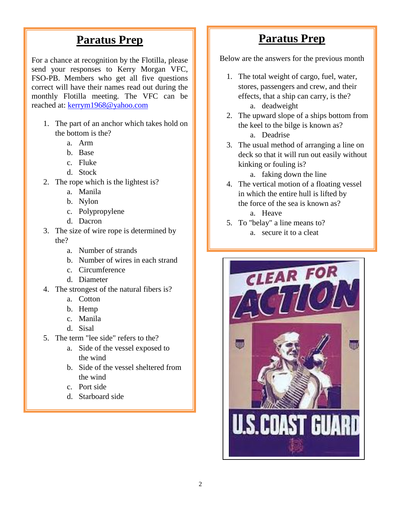#### **Paratus Prep**

For a chance at recognition by the Flotilla, please send your responses to Kerry Morgan VFC, FSO-PB. Members who get all five questions correct will have their names read out during the monthly Flotilla meeting. The VFC can be reached at: [kerrym1968@yahoo.com](mailto:kerrym1968@yahoo.com)

- 1. The part of an anchor which takes hold on the bottom is the?
	- a. Arm
	- b. Base
	- c. Fluke
	- d. Stock
- 2. The rope which is the lightest is?
	- a. Manila
	- b. Nylon
	- c. Polypropylene
	- d. Dacron
- 3. The size of wire rope is determined by the?
	- a. Number of strands
	- b. Number of wires in each strand
	- c. Circumference
	- d. Diameter
- 4. The strongest of the natural fibers is?
	- a. Cotton
	- b. Hemp
	- c. Manila
	- d. Sisal
- 5. The term "lee side" refers to the?
	- a. Side of the vessel exposed to the wind
	- b. Side of the vessel sheltered from the wind
	- c. Port side
	- d. Starboard side

#### **Paratus Prep**

Below are the answers for the previous month

- 1. The total weight of cargo, fuel, water, stores, passengers and crew, and their effects, that a ship can carry, is the? a. deadweight
- 2. The upward slope of a ships bottom from the keel to the bilge is known as? a. Deadrise
- 3. The usual method of arranging a line on deck so that it will run out easily without kinking or fouling is?

a. faking down the line

- 4. The vertical motion of a floating vessel in which the entire hull is lifted by the force of the sea is known as?
	- a. Heave
- 5. To "belay" a line means to?
	- a. secure it to a cleat

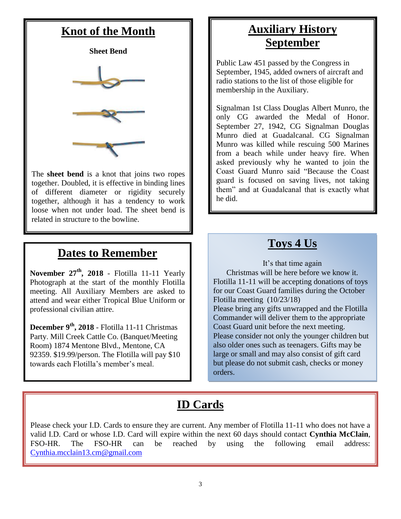### **Knot of the Month**



The **sheet bend** is a knot that joins two ropes together. Doubled, it is effective in binding lines of different diameter or rigidity securely together, although it has a tendency to work loose when not under load. The sheet bend is related in structure to the bowline.

#### **Dates to Remember**

**November 27th, 2018** - Flotilla 11-11 Yearly Photograph at the start of the monthly Flotilla meeting. All Auxiliary Members are asked to attend and wear either Tropical Blue Uniform or professional civilian attire.

**December 9th, 2018** - Flotilla 11-11 Christmas Party. Mill Creek Cattle Co. (Banquet/Meeting Room) 1874 Mentone Blvd., Mentone, CA 92359. \$19.99/person. The Flotilla will pay \$10 towards each Flotilla's member's meal.

# **Auxiliary History September**

Public Law 451 passed by the Congress in September, 1945, added owners of aircraft and radio stations to the list of those eligible for membership in the Auxiliary.

Signalman 1st Class Douglas Albert Munro, the only CG awarded the Medal of Honor. September 27, 1942, CG Signalman Douglas Munro died at Guadalcanal. CG Signalman Munro was killed while rescuing 500 Marines from a beach while under heavy fire. When asked previously why he wanted to join the Coast Guard Munro said "Because the Coast guard is focused on saving lives, not taking them" and at Guadalcanal that is exactly what he did.

# **Toys 4 Us**

It's that time again Christmas will be here before we know it. Flotilla 11-11 will be accepting donations of toys for our Coast Guard families during the October Flotilla meeting (10/23/18) Please bring any gifts unwrapped and the Flotilla Commander will deliver them to the appropriate Coast Guard unit before the next meeting. Please consider not only the younger children but also older ones such as teenagers. Gifts may be large or small and may also consist of gift card but please do not submit cash, checks or money orders.

# **ID Cards**

Please check your I.D. Cards to ensure they are current. Any member of Flotilla 11-11 who does not have a valid I.D. Card or whose I.D. Card will expire within the next 60 days should contact **Cynthia McClain**, FSO-HR. The FSO-HR can be reached by using the following email address: [Cynthia.mcclain13.cm@gmail.com](mailto:Cynthia.mcclain13.cm@gmail.com)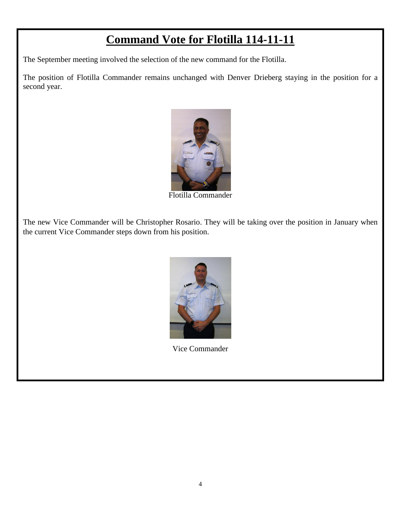#### **Command Vote for Flotilla 114-11-11**

The September meeting involved the selection of the new command for the Flotilla.

The position of Flotilla Commander remains unchanged with Denver Drieberg staying in the position for a second year.



Flotilla Commander

The new Vice Commander will be Christopher Rosario. They will be taking over the position in January when the current Vice Commander steps down from his position.



Vice Commander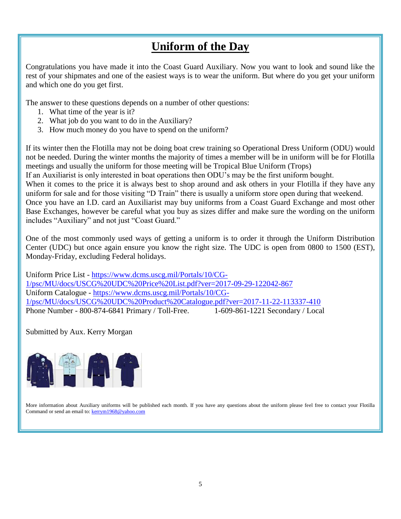#### **Uniform of the Day**

Congratulations you have made it into the Coast Guard Auxiliary. Now you want to look and sound like the rest of your shipmates and one of the easiest ways is to wear the uniform. But where do you get your uniform and which one do you get first.

The answer to these questions depends on a number of other questions:

- 1. What time of the year is it?
- 2. What job do you want to do in the Auxiliary?
- 3. How much money do you have to spend on the uniform?

If its winter then the Flotilla may not be doing boat crew training so Operational Dress Uniform (ODU) would not be needed. During the winter months the majority of times a member will be in uniform will be for Flotilla meetings and usually the uniform for those meeting will be Tropical Blue Uniform (Trops) If an Auxiliarist is only interested in boat operations then ODU's may be the first uniform bought.

When it comes to the price it is always best to shop around and ask others in your Flotilla if they have any uniform for sale and for those visiting "D Train" there is usually a uniform store open during that weekend. Once you have an I.D. card an Auxiliarist may buy uniforms from a Coast Guard Exchange and most other Base Exchanges, however be careful what you buy as sizes differ and make sure the wording on the uniform

includes "Auxiliary" and not just "Coast Guard."

One of the most commonly used ways of getting a uniform is to order it through the Uniform Distribution Center (UDC) but once again ensure you know the right size. The UDC is open from 0800 to 1500 (EST), Monday-Friday, excluding Federal holidays.

Uniform Price List - [https://www.dcms.uscg.mil/Portals/10/CG-](https://www.dcms.uscg.mil/Portals/10/CG-1/psc/MU/docs/USCG%20UDC%20Price%20List.pdf?ver=2017-09-29-122042-867)[1/psc/MU/docs/USCG%20UDC%20Price%20List.pdf?ver=2017-09-29-122042-867](https://www.dcms.uscg.mil/Portals/10/CG-1/psc/MU/docs/USCG%20UDC%20Price%20List.pdf?ver=2017-09-29-122042-867) Uniform Catalogue - [https://www.dcms.uscg.mil/Portals/10/CG-](https://www.dcms.uscg.mil/Portals/10/CG-1/psc/MU/docs/USCG%20UDC%20Product%20Catalogue.pdf?ver=2017-11-22-113337-410)[1/psc/MU/docs/USCG%20UDC%20Product%20Catalogue.pdf?ver=2017-11-22-113337-410](https://www.dcms.uscg.mil/Portals/10/CG-1/psc/MU/docs/USCG%20UDC%20Product%20Catalogue.pdf?ver=2017-11-22-113337-410) Phone Number - 800-874-6841 Primary / Toll-Free. 1-609-861-1221 Secondary / Local

Submitted by Aux. Kerry Morgan



More information about Auxiliary uniforms will be published each month. If you have any questions about the uniform please feel free to contact your Flotilla Command or send an email to: [kerrym1968@yahoo.com](mailto:kerrym1968@yahoo.com)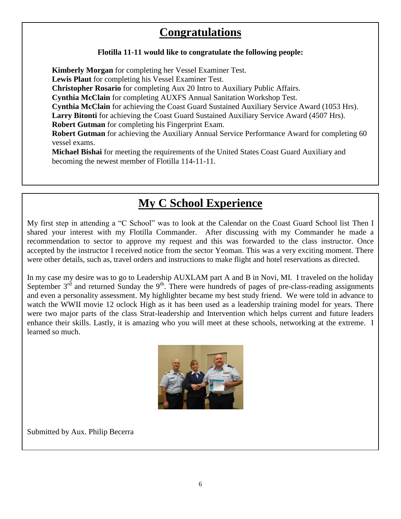### **Congratulations**

#### **Flotilla 11-11 would like to congratulate the following people:**

**Kimberly Morgan** for completing her Vessel Examiner Test. **Lewis Plaut** for completing his Vessel Examiner Test. **Christopher Rosario** for completing Aux 20 Intro to Auxiliary Public Affairs. **Cynthia McClain** for completing AUXFS Annual Sanitation Workshop Test. **Cynthia McClain** for achieving the Coast Guard Sustained Auxiliary Service Award (1053 Hrs). **Larry Bitonti** for achieving the Coast Guard Sustained Auxiliary Service Award (4507 Hrs). **Robert Gutman** for completing his Fingerprint Exam. **Robert Gutman** for achieving the Auxiliary Annual Service Performance Award for completing 60 vessel exams. **Michael Bishai** for meeting the requirements of the United States Coast Guard Auxiliary and becoming the newest member of Flotilla 114-11-11.

#### **My C School Experience**

My first step in attending a "C School" was to look at the Calendar on the Coast Guard School list Then I shared your interest with my Flotilla Commander. After discussing with my Commander he made a recommendation to sector to approve my request and this was forwarded to the class instructor. Once accepted by the instructor I received notice from the sector Yeoman. This was a very exciting moment. There were other details, such as, travel orders and instructions to make flight and hotel reservations as directed.

In my case my desire was to go to Leadership AUXLAM part A and B in Novi, MI. I traveled on the holiday September  $3^{rd}$  and returned Sunday the  $9^{th}$ . There were hundreds of pages of pre-class-reading assignments and even a personality assessment. My highlighter became my best study friend. We were told in advance to watch the WWII movie 12 oclock High as it has been used as a leadership training model for years. There were two major parts of the class Strat-leadership and Intervention which helps current and future leaders enhance their skills. Lastly, it is amazing who you will meet at these schools, networking at the extreme. I learned so much.



Submitted by Aux. Philip Becerra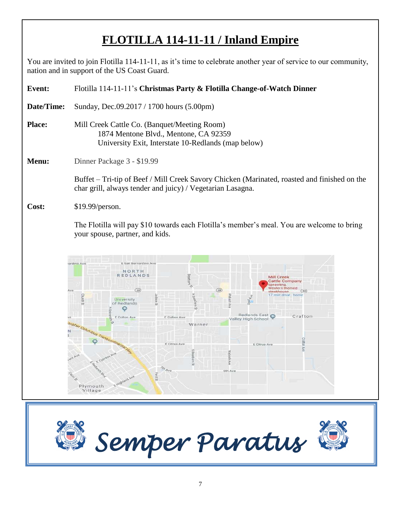# **FLOTILLA 114-11-11 / Inland Empire**

You are invited to join Flotilla 114-11-11, as it's time to celebrate another year of service to our community, nation and in support of the US Coast Guard.

| Event:     | Flotilla 114-11-11's Christmas Party & Flotilla Change-of-Watch Dinner                                                                                                                                                                                                                                                                                                                                                                                                                                                                                               |
|------------|----------------------------------------------------------------------------------------------------------------------------------------------------------------------------------------------------------------------------------------------------------------------------------------------------------------------------------------------------------------------------------------------------------------------------------------------------------------------------------------------------------------------------------------------------------------------|
| Date/Time: | Sunday, Dec.09.2017 / 1700 hours (5.00pm)                                                                                                                                                                                                                                                                                                                                                                                                                                                                                                                            |
| Place:     | Mill Creek Cattle Co. (Banquet/Meeting Room)<br>1874 Mentone Blvd., Mentone, CA 92359<br>University Exit, Interstate 10-Redlands (map below)                                                                                                                                                                                                                                                                                                                                                                                                                         |
| Menu:      | Dinner Package 3 - \$19.99                                                                                                                                                                                                                                                                                                                                                                                                                                                                                                                                           |
|            | Buffet - Tri-tip of Beef / Mill Creek Savory Chicken (Marinated, roasted and finished on the<br>char grill, always tender and juicy) / Vegetarian Lasagna.                                                                                                                                                                                                                                                                                                                                                                                                           |
| Cost:      | \$19.99/person.                                                                                                                                                                                                                                                                                                                                                                                                                                                                                                                                                      |
|            | The Flotilla will pay \$10 towards each Flotilla's member's meal. You are welcome to bring<br>your spouse, partner, and kids.                                                                                                                                                                                                                                                                                                                                                                                                                                        |
|            | ardino Ave<br>E San Bernardino Ave<br>NORTH<br><b>REDLANDS</b><br>Dearborn<br>Mill Creek<br><b>Cattle Company</b><br>iprawling.<br>U)<br>Western-themed<br>(38)<br>(38)<br>Ave<br>(38)<br>steakhouse<br>7 min drive - home<br>pmy<br>University<br>of Redlands<br>Redlands East<br>Crafton<br>E Colton Ave<br>E Colton Ave<br>Valley High School<br><b>Tropher Columbus Transcontinental Hay</b><br>Warner<br>Crafton Ave<br>E Citrus Ave<br>E Citrus Ave<br>Wabash<br>E Cypre<br>Ave<br>5<br>Sth Ave<br>5th Ave<br>Ford St<br>E Mighland Ave<br>Plymouth<br>Village |